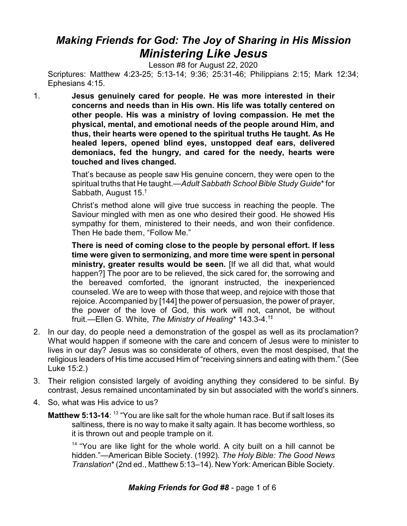## *Making Friends for God: The Joy of Sharing in His Mission Ministering Like Jesus*

Lesson #8 for August 22, 2020

Scriptures: Matthew 4:23-25; 5:13-14; 9:36; 25:31-46; Philippians 2:15; Mark 12:34; Ephesians 4:15.

1. **Jesus genuinely cared for people. He was more interested in their concerns and needs than in His own. His life was totally centered on other people. His was a ministry of loving compassion. He met the physical, mental, and emotional needs of the people around Him, and thus, their hearts were opened to the spiritual truths He taught. As He healed lepers, opened blind eyes, unstopped deaf ears, delivered demoniacs, fed the hungry, and cared for the needy, hearts were touched and lives changed.**

> That's because as people saw His genuine concern, they were open to the spiritual truths that He taught.—*Adult Sabbath School Bible Study Guide*\* for Sabbath, August 15.†

> Christ's method alone will give true success in reaching the people. The Saviour mingled with men as one who desired their good. He showed His sympathy for them, ministered to their needs, and won their confidence. Then He bade them, "Follow Me."

> **There is need of coming close to the people by personal effort. If less time were given to sermonizing, and more time were spent in personal ministry, greater results would be seen.** [If we all did that, what would happen?] The poor are to be relieved, the sick cared for, the sorrowing and the bereaved comforted, the ignorant instructed, the inexperienced counseled. We are to weep with those that weep, and rejoice with those that rejoice. Accompanied by [144] the power of persuasion, the power of prayer, the power of the love of God, this work will not, cannot, be without fruit.—Ellen G. White, *The Ministry of Healing*\* 143.3-4.†‡

- 2. In our day, do people need a demonstration of the gospel as well as its proclamation? What would happen if someone with the care and concern of Jesus were to minister to lives in our day? Jesus was so considerate of others, even the most despised, that the religious leaders of His time accused Him of "receiving sinners and eating with them." (See Luke 15:2.)
- 3. Their religion consisted largely of avoiding anything they considered to be sinful. By contrast, Jesus remained uncontaminated by sin but associated with the world's sinners.
- 4. So, what was His advice to us?
	- **Matthew 5:13-14**: <sup>13</sup> "You are like salt for the whole human race. But if salt loses its saltiness, there is no way to make it salty again. It has become worthless, so it is thrown out and people trample on it.

<sup>14</sup> "You are like light for the whole world. A city built on a hill cannot be hidden."—American Bible Society. (1992). *The Holy Bible: The Good News Translation*\* (2nd ed., Matthew 5:13–14). New York: American Bible Society.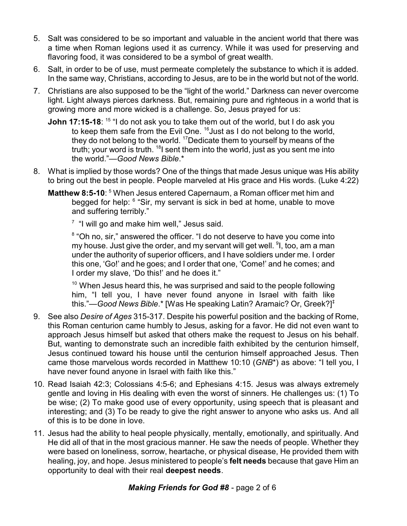- 5. Salt was considered to be so important and valuable in the ancient world that there was a time when Roman legions used it as currency. While it was used for preserving and flavoring food, it was considered to be a symbol of great wealth.
- 6. Salt, in order to be of use, must permeate completely the substance to which it is added. In the same way, Christians, according to Jesus, are to be in the world but not of the world.
- 7. Christians are also supposed to be the "light of the world." Darkness can never overcome light. Light always pierces darkness. But, remaining pure and righteous in a world that is growing more and more wicked is a challenge. So, Jesus prayed for us:
	- **John 17:15-18**: <sup>15</sup> "I do not ask you to take them out of the world, but I do ask you to keep them safe from the Evil One. <sup>16</sup>Just as I do not belong to the world, they do not belong to the world. <sup>17</sup>Dedicate them to yourself by means of the truth; your word is truth. <sup>18</sup>l sent them into the world, just as you sent me into the world."—*Good News Bible*.\*
- 8. What is implied by those words? One of the things that made Jesus unique was His ability to bring out the best in people. People marveled at His grace and His words. (Luke 4:22)
	- **Matthew 8:5-10:** <sup>5</sup> When Jesus entered Capernaum, a Roman officer met him and begged for help:  $6$  "Sir, my servant is sick in bed at home, unable to move and suffering terribly."

<sup>7</sup> "I will go and make him well," Jesus said.

<sup>8</sup> "Oh no, sir," answered the officer. "I do not deserve to have you come into my house. Just give the order, and my servant will get well. <sup>9</sup>I, too, am a man under the authority of superior officers, and I have soldiers under me. I order this one, 'Go!' and he goes; and I order that one, 'Come!' and he comes; and I order my slave, 'Do this!' and he does it."

 $10$  When Jesus heard this, he was surprised and said to the people following him, "I tell you, I have never found anyone in Israel with faith like this."—*Good News Bible*.\* [Was He speaking Latin? Aramaic? Or, Greek?]‡

- 9. See also *Desire of Ages* 315-317. Despite his powerful position and the backing of Rome, this Roman centurion came humbly to Jesus, asking for a favor. He did not even want to approach Jesus himself but asked that others make the request to Jesus on his behalf. But, wanting to demonstrate such an incredible faith exhibited by the centurion himself, Jesus continued toward his house until the centurion himself approached Jesus. Then came those marvelous words recorded in Matthew 10:10 (*GNB*\*) as above: "I tell you, I have never found anyone in Israel with faith like this."
- 10. Read Isaiah 42:3; Colossians 4:5-6; and Ephesians 4:15. Jesus was always extremely gentle and loving in His dealing with even the worst of sinners. He challenges us: (1) To be wise; (2) To make good use of every opportunity, using speech that is pleasant and interesting; and (3) To be ready to give the right answer to anyone who asks us. And all of this is to be done in love.
- 11. Jesus had the ability to heal people physically, mentally, emotionally, and spiritually. And He did all of that in the most gracious manner. He saw the needs of people. Whether they were based on loneliness, sorrow, heartache, or physical disease, He provided them with healing, joy, and hope. Jesus ministered to people's **felt needs** because that gave Him an opportunity to deal with their real **deepest needs**.

## *Making Friends for God #8* - page 2 of 6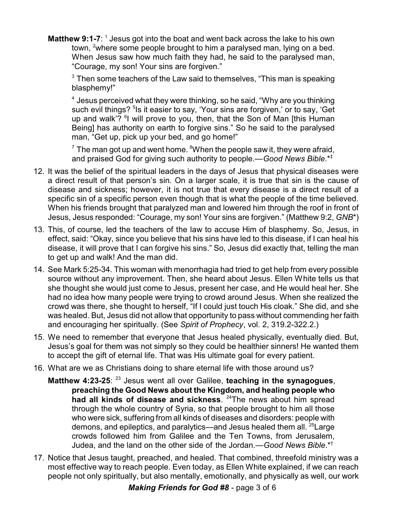**Matthew 9:1-7**: <sup>1</sup> Jesus got into the boat and went back across the lake to his own town, <sup>2</sup>where some people brought to him a paralysed man, Iving on a bed. When Jesus saw how much faith they had, he said to the paralysed man, "Courage, my son! Your sins are forgiven."

 $^{\rm 3}$  Then some teachers of the Law said to themselves, "This man is speaking blasphemy!"

 $^{\rm 4}$  Jesus perceived what they were thinking, so he said, "Why are you thinking such evil things? <sup>5</sup>ls it easier to say, 'Your sins are forgiven,' or to say, 'Get up and walk'? <sup>6</sup>I will prove to you, then, that the Son of Man [this Human Being] has authority on earth to forgive sins." So he said to the paralysed man, "Get up, pick up your bed, and go home!"

 $^7$  The man got up and went home.  $^8$ When the people saw it, they were afraid, and praised God for giving such authority to people.—*Good News Bible*.\*‡

- 12. It was the belief of the spiritual leaders in the days of Jesus that physical diseases were a direct result of that person's sin. On a larger scale, it is true that sin is the cause of disease and sickness; however, it is not true that every disease is a direct result of a specific sin of a specific person even though that is what the people of the time believed. When his friends brought that paralyzed man and lowered him through the roof in front of Jesus, Jesus responded: "Courage, my son! Your sins are forgiven." (Matthew 9:2, *GNB*\*)
- 13. This, of course, led the teachers of the law to accuse Him of blasphemy. So, Jesus, in effect, said: "Okay, since you believe that his sins have led to this disease, if I can heal his disease, it will prove that I can forgive his sins." So, Jesus did exactly that, telling the man to get up and walk! And the man did.
- 14. See Mark 5:25-34. This woman with menorrhagia had tried to get help from every possible source without any improvement. Then, she heard about Jesus. Ellen White tells us that she thought she would just come to Jesus, present her case, and He would heal her. She had no idea how many people were trying to crowd around Jesus. When she realized the crowd was there, she thought to herself, "If I could just touch His cloak." She did, and she was healed. But, Jesus did not allow that opportunity to pass without commending her faith and encouraging her spiritually. (See *Spirit of Prophecy*, vol. 2, 319.2-322.2.)
- 15. We need to remember that everyone that Jesus healed physically, eventually died. But, Jesus's goal for them was not simply so they could be healthier sinners! He wanted them to accept the gift of eternal life. That was His ultimate goal for every patient.
- 16. What are we as Christians doing to share eternal life with those around us?
	- **Matthew 4:23-25**: <sup>23</sup> Jesus went all over Galilee, teaching in the synagogues, **preaching the Good News about the Kingdom, and healing people who had all kinds of disease and sickness**. <sup>24</sup>The news about him spread through the whole country of Syria, so that people brought to him all those who were sick, suffering from all kinds of diseases and disorders: people with demons, and epileptics, and paralytics—and Jesus healed them all. <sup>25</sup> Large crowds followed him from Galilee and the Ten Towns, from Jerusalem, Judea, and the land on the other side of the Jordan.—*Good News Bible*.\*†
- 17. Notice that Jesus taught, preached, and healed. That combined, threefold ministry was a most effective way to reach people. Even today, as Ellen White explained, if we can reach people not only spiritually, but also mentally, emotionally, and physically as well, our work

*Making Friends for God #8* - page 3 of 6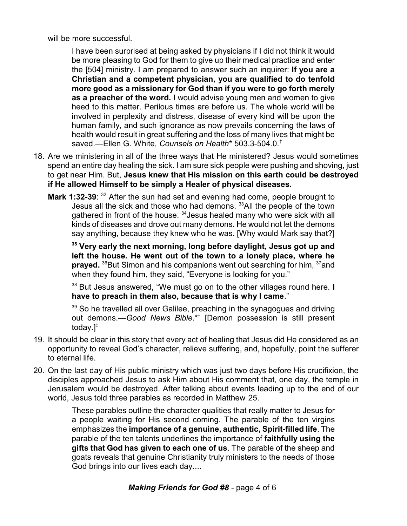will be more successful.

I have been surprised at being asked by physicians if I did not think it would be more pleasing to God for them to give up their medical practice and enter the [504] ministry. I am prepared to answer such an inquirer: **If you are a Christian and a competent physician, you are qualified to do tenfold more good as a missionary for God than if you were to go forth merely as a preacher of the word.** I would advise young men and women to give heed to this matter. Perilous times are before us. The whole world will be involved in perplexity and distress, disease of every kind will be upon the human family, and such ignorance as now prevails concerning the laws of health would result in great suffering and the loss of many lives that might be saved.—Ellen G. White, *Counsels on Health*\* 503.3-504.0.†

- 18. Are we ministering in all of the three ways that He ministered? Jesus would sometimes spend an entire day healing the sick. I am sure sick people were pushing and shoving, just to get near Him. But, **Jesus knew that His mission on this earth could be destroyed if He allowed Himself to be simply a Healer of physical diseases.**
	- **Mark 1:32-39:** <sup>32</sup> After the sun had set and evening had come, people brought to Jesus all the sick and those who had demons. <sup>33</sup>All the people of the town gathered in front of the house. <sup>34</sup>Jesus healed many who were sick with all kinds of diseases and drove out many demons. He would not let the demons say anything, because they knew who he was. [Why would Mark say that?]

**35 Very early the next morning, long before daylight, Jesus got up and left the house. He went out of the town to a lonely place, where he prayed.** <sup>36</sup>But Simon and his companions went out searching for him, <sup>37</sup>and when they found him, they said, "Everyone is looking for you."

38 But Jesus answered, "We must go on to the other villages round here. **I have to preach in them also, because that is why I came**."

<sup>39</sup> So he travelled all over Galilee, preaching in the synagogues and driving out demons.—*Good News Bible*.\*† [Demon possession is still present today.]‡

- 19. It should be clear in this story that every act of healing that Jesus did He considered as an opportunity to reveal God's character, relieve suffering, and, hopefully, point the sufferer to eternal life.
- 20. On the last day of His public ministry which was just two days before His crucifixion, the disciples approached Jesus to ask Him about His comment that, one day, the temple in Jerusalem would be destroyed. After talking about events leading up to the end of our world, Jesus told three parables as recorded in Matthew 25.

These parables outline the character qualities that really matter to Jesus for a people waiting for His second coming. The parable of the ten virgins emphasizes the **importance of a genuine, authentic, Spirit-filled life**. The parable of the ten talents underlines the importance of **faithfully using the gifts that God has given to each one of us**. The parable of the sheep and goats reveals that genuine Christianity truly ministers to the needs of those God brings into our lives each day....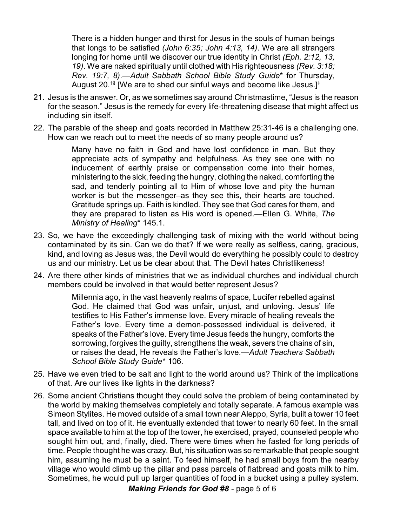There is a hidden hunger and thirst for Jesus in the souls of human beings that longs to be satisfied *(John 6:35; John 4:13, 14)*. We are all strangers longing for home until we discover our true identity in Christ *(Eph. 2:12, 13, 19)*. We are naked spiritually until clothed with His righteousness *(Rev. 3:18; Rev. 19:7, 8)*.—*Adult Sabbath School Bible Study Guide*\* for Thursday, August 20. $^{\dagger\S}$  [We are to shed our sinful ways and become like Jesus.] $^{\ddagger}$ 

- 21. Jesus is the answer. Or, as we sometimes say around Christmastime, "Jesus is the reason for the season." Jesus is the remedy for every life-threatening disease that might affect us including sin itself.
- 22. The parable of the sheep and goats recorded in Matthew 25:31-46 is a challenging one. How can we reach out to meet the needs of so many people around us?

Many have no faith in God and have lost confidence in man. But they appreciate acts of sympathy and helpfulness. As they see one with no inducement of earthly praise or compensation come into their homes, ministering to the sick, feeding the hungry, clothing the naked, comforting the sad, and tenderly pointing all to Him of whose love and pity the human worker is but the messenger–as they see this, their hearts are touched. Gratitude springs up. Faith is kindled. They see that God cares for them, and they are prepared to listen as His word is opened.—Ellen G. White, *The Ministry of Healing*\* 145.1.

- 23. So, we have the exceedingly challenging task of mixing with the world without being contaminated by its sin. Can we do that? If we were really as selfless, caring, gracious, kind, and loving as Jesus was, the Devil would do everything he possibly could to destroy us and our ministry. Let us be clear about that. The Devil hates Christlikeness!
- 24. Are there other kinds of ministries that we as individual churches and individual church members could be involved in that would better represent Jesus?

Millennia ago, in the vast heavenly realms of space, Lucifer rebelled against God. He claimed that God was unfair, unjust, and unloving. Jesus' life testifies to His Father's immense love. Every miracle of healing reveals the Father's love. Every time a demon-possessed individual is delivered, it speaks of the Father's love. Every time Jesus feeds the hungry, comforts the sorrowing, forgives the guilty, strengthens the weak, severs the chains of sin, or raises the dead, He reveals the Father's love.—*Adult Teachers Sabbath School Bible Study Guide*\* 106.

- 25. Have we even tried to be salt and light to the world around us? Think of the implications of that. Are our lives like lights in the darkness?
- 26. Some ancient Christians thought they could solve the problem of being contaminated by the world by making themselves completely and totally separate. A famous example was Simeon Stylites. He moved outside of a small town near Aleppo, Syria, built a tower 10 feet tall, and lived on top of it. He eventually extended that tower to nearly 60 feet. In the small space available to him at the top of the tower, he exercised, prayed, counseled people who sought him out, and, finally, died. There were times when he fasted for long periods of time. People thought he was crazy. But, his situation was so remarkable that people sought him, assuming he must be a saint. To feed himself, he had small boys from the nearby village who would climb up the pillar and pass parcels of flatbread and goats milk to him. Sometimes, he would pull up larger quantities of food in a bucket using a pulley system.

*Making Friends for God #8* - page 5 of 6